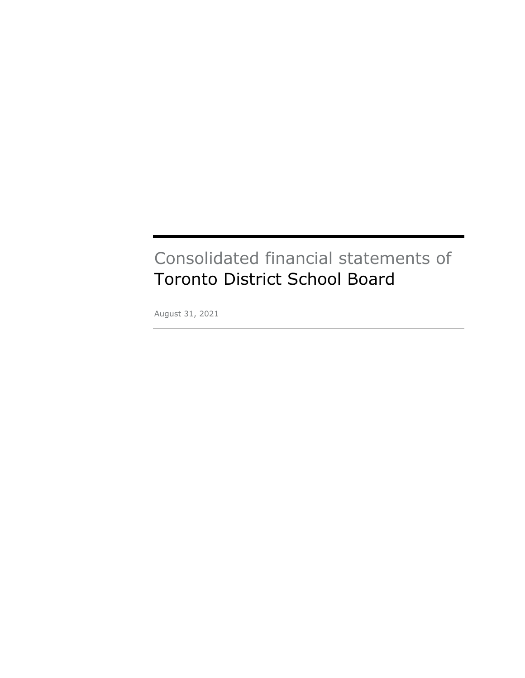# Consolidated financial statements of Toronto District School Board District School Board

August 31, 2021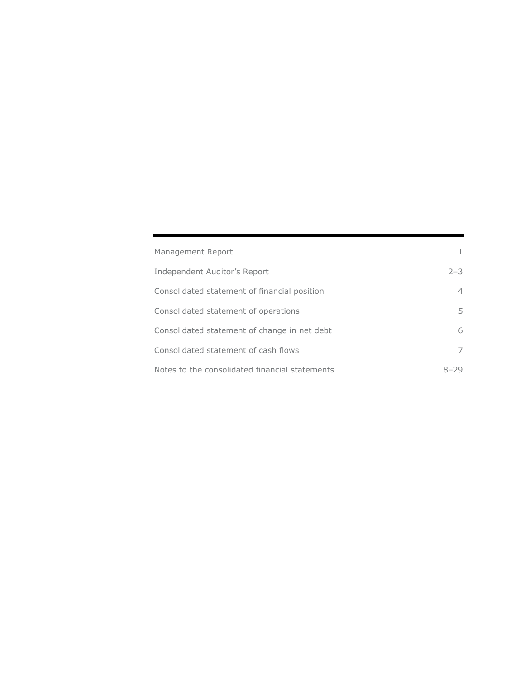| Management Report                              |                |
|------------------------------------------------|----------------|
| Independent Auditor's Report                   | $2 - 3$        |
| Consolidated statement of financial position   | $\overline{4}$ |
| Consolidated statement of operations           | 5.             |
| Consolidated statement of change in net debt   | 6              |
| Consolidated statement of cash flows           |                |
| Notes to the consolidated financial statements | 8–29           |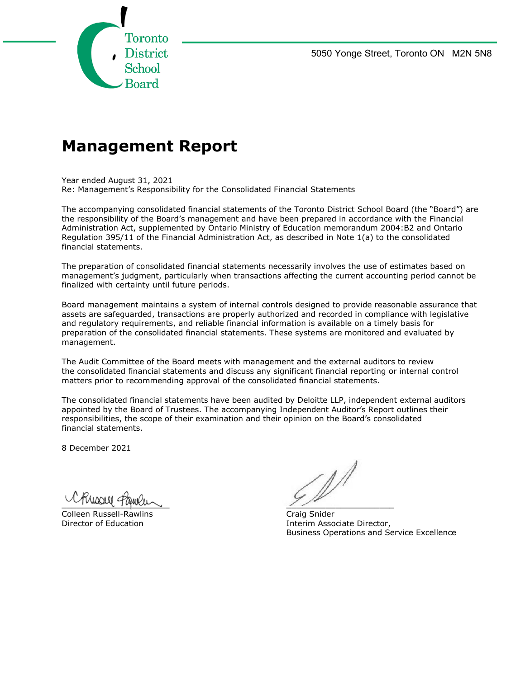

## **Management Report**

Year ended August 31, 2021 Re: Management's Responsibility for the Consolidated Financial Statements

The accompanying consolidated financial statements of the Toronto District School Board (the "Board") are the responsibility of the Board's management and have been prepared in accordance with the Financial Administration Act, supplemented by Ontario Ministry of Education memorandum 2004:B2 and Ontario Regulation 395/11 of the Financial Administration Act, as described in Note 1(a) to the consolidated financial statements.

The preparation of consolidated financial statements necessarily involves the use of estimates based on management's judgment, particularly when transactions affecting the current accounting period cannot be finalized with certainty until future periods.

Board management maintains a system of internal controls designed to provide reasonable assurance that assets are safeguarded, transactions are properly authorized and recorded in compliance with legislative and regulatory requirements, and reliable financial information is available on a timely basis for preparation of the consolidated financial statements. These systems are monitored and evaluated by management.

The Audit Committee of the Board meets with management and the external auditors to review the consolidated financial statements and discuss any significant financial reporting or internal control matters prior to recommending approval of the consolidated financial statements.

The consolidated financial statements have been audited by Deloitte LLP, independent external auditors appointed by the Board of Trustees. The accompanying Independent Auditor's Report outlines their responsibilities, the scope of their examination and their opinion on the Board's consolidated financial statements.

8 December 2021

 $\overline{\phantom{a}}$  $\overline{C}$  $f$ Unnell  $\epsilon$ 

Colleen Russell-Rawlins

 $\sim$  1  $\mathcal{L}$ 

Director of Education **Interim Associate Director,** Interim Associate Director,<br>Business Operations and Service Excellence Craig Snider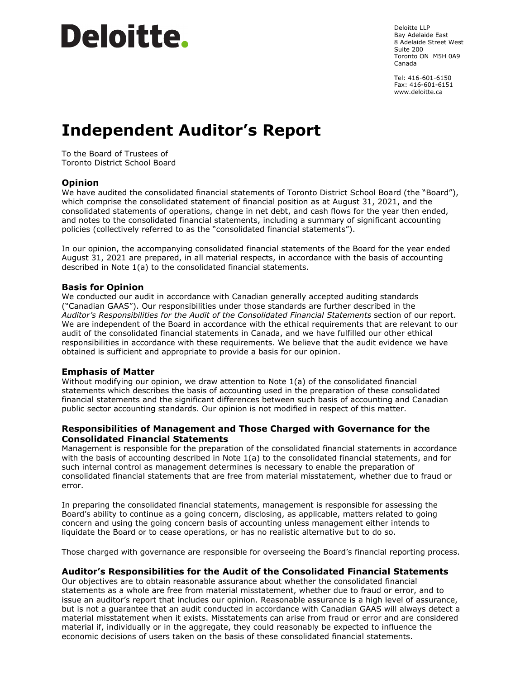

Deloitte LLP Bay Adelaide East 8 Adelaide Street West Suite 200 Toronto ON M5H 0A9 Canada

Tel: 416-601-6150 Fax: 416-601-6151 www.deloitte.ca

## **Independent Auditor's Report**

To the Board of Trustees of Toronto District School Board

#### **Opinion**

We have audited the consolidated financial statements of Toronto District School Board (the "Board"), which comprise the consolidated statement of financial position as at August 31, 2021, and the consolidated statements of operations, change in net debt, and cash flows for the year then ended, and notes to the consolidated financial statements, including a summary of significant accounting policies (collectively referred to as the "consolidated financial statements").

In our opinion, the accompanying consolidated financial statements of the Board for the year ended August 31, 2021 are prepared, in all material respects, in accordance with the basis of accounting described in Note 1(a) to the consolidated financial statements.

#### **Basis for Opinion**

We conducted our audit in accordance with Canadian generally accepted auditing standards ("Canadian GAAS"). Our responsibilities under those standards are further described in the *Auditor's Responsibilities for the Audit of the Consolidated Financial Statements* section of our report. We are independent of the Board in accordance with the ethical requirements that are relevant to our audit of the consolidated financial statements in Canada, and we have fulfilled our other ethical responsibilities in accordance with these requirements. We believe that the audit evidence we have obtained is sufficient and appropriate to provide a basis for our opinion.

#### **Emphasis of Matter**

Without modifying our opinion, we draw attention to Note 1(a) of the consolidated financial statements which describes the basis of accounting used in the preparation of these consolidated financial statements and the significant differences between such basis of accounting and Canadian public sector accounting standards. Our opinion is not modified in respect of this matter.

#### **Responsibilities of Management and Those Charged with Governance for the Consolidated Financial Statements**

Management is responsible for the preparation of the consolidated financial statements in accordance with the basis of accounting described in Note 1(a) to the consolidated financial statements, and for such internal control as management determines is necessary to enable the preparation of consolidated financial statements that are free from material misstatement, whether due to fraud or error.

In preparing the consolidated financial statements, management is responsible for assessing the Board's ability to continue as a going concern, disclosing, as applicable, matters related to going concern and using the going concern basis of accounting unless management either intends to liquidate the Board or to cease operations, or has no realistic alternative but to do so.

Those charged with governance are responsible for overseeing the Board's financial reporting process.

#### **Auditor's Responsibilities for the Audit of the Consolidated Financial Statements**

Our objectives are to obtain reasonable assurance about whether the consolidated financial statements as a whole are free from material misstatement, whether due to fraud or error, and to issue an auditor's report that includes our opinion. Reasonable assurance is a high level of assurance, but is not a guarantee that an audit conducted in accordance with Canadian GAAS will always detect a material misstatement when it exists. Misstatements can arise from fraud or error and are considered material if, individually or in the aggregate, they could reasonably be expected to influence the economic decisions of users taken on the basis of these consolidated financial statements.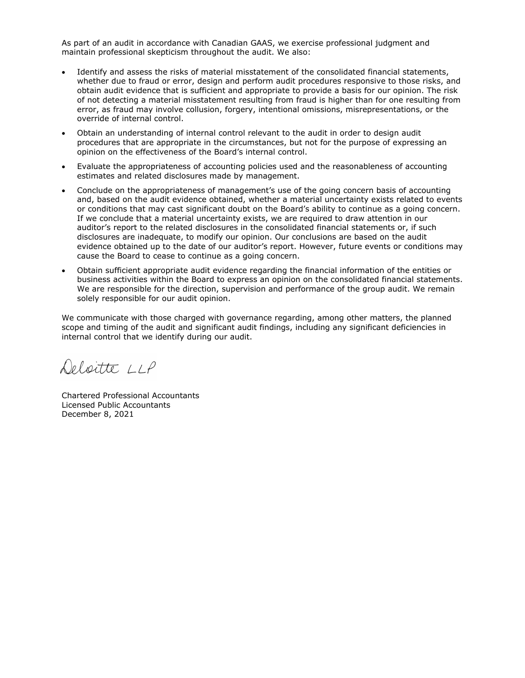As part of an audit in accordance with Canadian GAAS, we exercise professional judgment and maintain professional skepticism throughout the audit. We also:

- Identify and assess the risks of material misstatement of the consolidated financial statements, whether due to fraud or error, design and perform audit procedures responsive to those risks, and obtain audit evidence that is sufficient and appropriate to provide a basis for our opinion. The risk of not detecting a material misstatement resulting from fraud is higher than for one resulting from error, as fraud may involve collusion, forgery, intentional omissions, misrepresentations, or the override of internal control.
- Obtain an understanding of internal control relevant to the audit in order to design audit procedures that are appropriate in the circumstances, but not for the purpose of expressing an opinion on the effectiveness of the Board's internal control.
- Evaluate the appropriateness of accounting policies used and the reasonableness of accounting estimates and related disclosures made by management.
- Conclude on the appropriateness of management's use of the going concern basis of accounting and, based on the audit evidence obtained, whether a material uncertainty exists related to events or conditions that may cast significant doubt on the Board's ability to continue as a going concern. If we conclude that a material uncertainty exists, we are required to draw attention in our auditor's report to the related disclosures in the consolidated financial statements or, if such disclosures are inadequate, to modify our opinion. Our conclusions are based on the audit evidence obtained up to the date of our auditor's report. However, future events or conditions may cause the Board to cease to continue as a going concern.
- Obtain sufficient appropriate audit evidence regarding the financial information of the entities or business activities within the Board to express an opinion on the consolidated financial statements. We are responsible for the direction, supervision and performance of the group audit. We remain solely responsible for our audit opinion.

We communicate with those charged with governance regarding, among other matters, the planned scope and timing of the audit and significant audit findings, including any significant deficiencies in internal control that we identify during our audit.

Delicitté 11P

Chartered Professional Accountants Licensed Public Accountants December 8, 2021 2021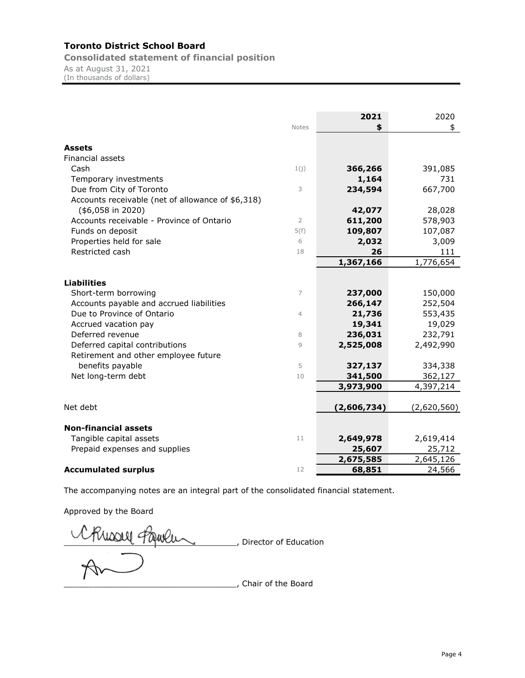**Consolidated statement of financial position**

As at August 31, 2021 (In thousands of dollars)

|                                                   | <b>Notes</b>   | 2021<br>\$  | 2020<br>\$  |
|---------------------------------------------------|----------------|-------------|-------------|
| Assets                                            |                |             |             |
| <b>Financial assets</b>                           |                |             |             |
| Cash                                              | 1(j)           | 366,266     | 391,085     |
| Temporary investments                             |                | 1,164       | 731         |
| Due from City of Toronto                          | 3              | 234,594     | 667,700     |
| Accounts receivable (net of allowance of \$6,318) |                |             |             |
| $($6,058$$ in 2020)                               |                | 42,077      | 28,028      |
| Accounts receivable - Province of Ontario         | $\overline{2}$ | 611,200     | 578,903     |
| Funds on deposit                                  | 5(f)           | 109,807     | 107,087     |
| Properties held for sale                          | 6              | 2,032       | 3,009       |
| Restricted cash                                   | 18             | 26          | 111         |
|                                                   |                | 1,367,166   | 1,776,654   |
|                                                   |                |             |             |
| <b>Liabilities</b>                                |                |             |             |
| Short-term borrowing                              | 7              | 237,000     | 150,000     |
| Accounts payable and accrued liabilities          |                | 266,147     | 252,504     |
| Due to Province of Ontario                        | $\overline{4}$ | 21,736      | 553,435     |
| Accrued vacation pay                              |                | 19,341      | 19,029      |
| Deferred revenue                                  | 8              | 236,031     | 232,791     |
| Deferred capital contributions                    | 9              | 2,525,008   | 2,492,990   |
| Retirement and other employee future              |                |             |             |
| benefits payable                                  | 5              | 327,137     | 334,338     |
| Net long-term debt                                | 10             | 341,500     | 362,127     |
|                                                   |                | 3,973,900   | 4,397,214   |
|                                                   |                |             |             |
| Net debt                                          |                | (2,606,734) | (2,620,560) |
| <b>Non-financial assets</b>                       |                |             |             |
| Tangible capital assets                           | 11             | 2,649,978   | 2,619,414   |
| Prepaid expenses and supplies                     |                | 25,607      | 25,712      |
|                                                   |                | 2,675,585   | 2,645,126   |
| <b>Accumulated surplus</b>                        | 12             | 68,851      | 24,566      |

The accompanying notes are an integral part of the consolidated financial statement.

Approved by the Board

Chisou Paulu \_\_\_\_\_\_\_\_\_\_\_\_\_\_\_\_\_\_\_\_\_\_\_\_\_\_\_\_\_\_\_\_\_\_\_, Chair of the Board Chair of the Board <u>**LETT**</u>, Director of Education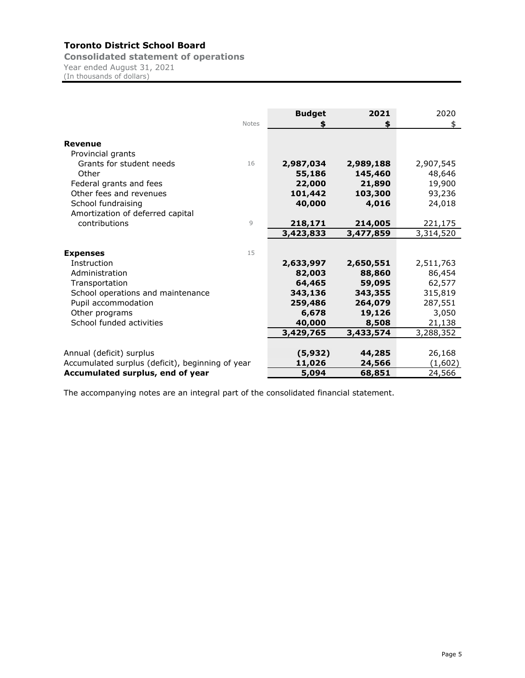**Consolidated statement of operations** Year ended August 31, 2021 (In thousands of dollars)

|                                                  | <b>Notes</b> | <b>Budget</b> | 2021<br>\$ | 2020<br>\$ |
|--------------------------------------------------|--------------|---------------|------------|------------|
| <b>Revenue</b>                                   |              |               |            |            |
| Provincial grants                                |              |               |            |            |
| Grants for student needs                         | 16           | 2,987,034     | 2,989,188  | 2,907,545  |
| Other                                            |              | 55,186        | 145,460    | 48,646     |
| Federal grants and fees                          |              | 22,000        | 21,890     | 19,900     |
| Other fees and revenues                          |              | 101,442       | 103,300    | 93,236     |
| School fundraising                               |              | 40,000        | 4,016      | 24,018     |
| Amortization of deferred capital                 |              |               |            |            |
| contributions                                    | 9            | 218,171       | 214,005    | 221,175    |
|                                                  |              | 3,423,833     | 3,477,859  | 3,314,520  |
|                                                  |              |               |            |            |
| <b>Expenses</b>                                  | 15           |               |            |            |
| Instruction                                      |              | 2,633,997     | 2,650,551  | 2,511,763  |
| Administration                                   |              | 82,003        | 88,860     | 86,454     |
| Transportation                                   |              | 64,465        | 59,095     | 62,577     |
| School operations and maintenance                |              | 343,136       | 343,355    | 315,819    |
| Pupil accommodation                              |              | 259,486       | 264,079    | 287,551    |
| Other programs                                   |              | 6,678         | 19,126     | 3,050      |
| School funded activities                         |              | 40,000        | 8,508      | 21,138     |
|                                                  |              | 3,429,765     | 3,433,574  | 3,288,352  |
|                                                  |              |               |            |            |
| Annual (deficit) surplus                         |              | (5, 932)      | 44,285     | 26,168     |
| Accumulated surplus (deficit), beginning of year |              | 11,026        | 24,566     | (1,602)    |
| Accumulated surplus, end of year                 |              | 5,094         | 68,851     | 24,566     |

The accompanying notes are an integral part of the consolidated financial statement.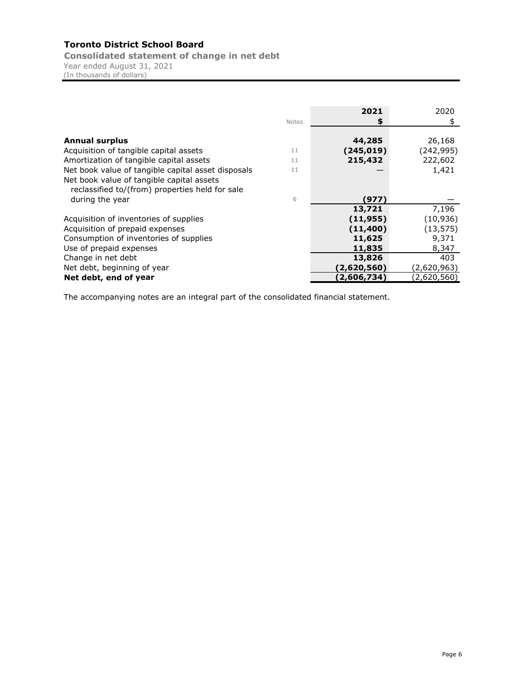**Consolidated statement of change in net debt** Year ended August 31, 2021

(In thousands of dollars)

|                                                    |       | 2021        | 2020        |
|----------------------------------------------------|-------|-------------|-------------|
|                                                    | Notes |             | \$          |
|                                                    |       |             |             |
| <b>Annual surplus</b>                              |       | 44,285      | 26,168      |
| Acquisition of tangible capital assets             | 11    | (245,019)   | (242, 995)  |
| Amortization of tangible capital assets            | 11    | 215,432     | 222,602     |
| Net book value of tangible capital asset disposals | 11    |             | 1,421       |
| Net book value of tangible capital assets          |       |             |             |
| reclassified to/(from) properties held for sale    |       |             |             |
| during the year                                    | 6     | (977)       |             |
|                                                    |       | 13,721      | 7,196       |
| Acquisition of inventories of supplies             |       | (11, 955)   | (10, 936)   |
| Acquisition of prepaid expenses                    |       | (11, 400)   | (13, 575)   |
| Consumption of inventories of supplies             |       | 11,625      | 9,371       |
| Use of prepaid expenses                            |       | 11,835      | 8,347       |
| Change in net debt                                 |       | 13,826      | 403         |
| Net debt, beginning of year                        |       | (2,620,560) | (2,620,963) |
| Net debt, end of year                              |       | (2,606,734) | (2,620,560) |

The accompanying notes are an integral part of the consolidated financial statement.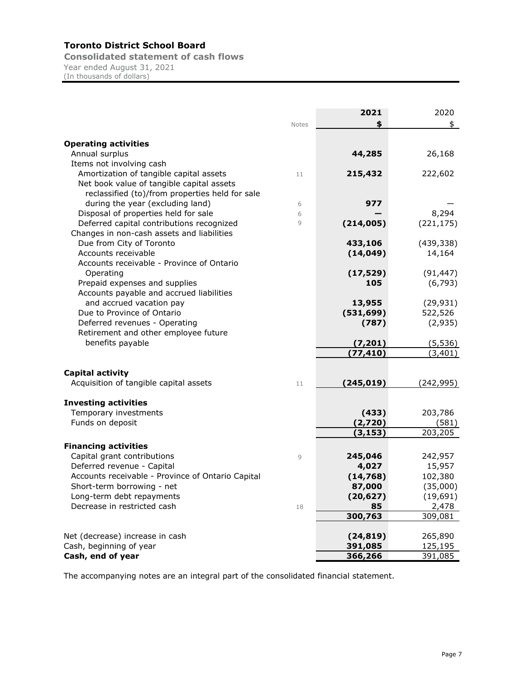**Consolidated statement of cash flows** Year ended August 31, 2021 (In thousands of dollars)

|                                                                                     |        | 2021       | 2020       |
|-------------------------------------------------------------------------------------|--------|------------|------------|
|                                                                                     | Notes  | \$         | \$         |
|                                                                                     |        |            |            |
| <b>Operating activities</b>                                                         |        |            |            |
| Annual surplus                                                                      |        | 44,285     | 26,168     |
| Items not involving cash                                                            |        |            |            |
| Amortization of tangible capital assets                                             | 11     | 215,432    | 222,602    |
| Net book value of tangible capital assets                                           |        |            |            |
| reclassified (to)/from properties held for sale<br>during the year (excluding land) |        | 977        |            |
| Disposal of properties held for sale                                                | 6<br>6 |            | 8,294      |
| Deferred capital contributions recognized                                           | 9      | (214,005)  | (221, 175) |
| Changes in non-cash assets and liabilities                                          |        |            |            |
| Due from City of Toronto                                                            |        | 433,106    | (439, 338) |
| Accounts receivable                                                                 |        | (14, 049)  | 14,164     |
| Accounts receivable - Province of Ontario                                           |        |            |            |
| Operating                                                                           |        | (17, 529)  | (91, 447)  |
| Prepaid expenses and supplies                                                       |        | 105        | (6, 793)   |
| Accounts payable and accrued liabilities                                            |        |            |            |
| and accrued vacation pay                                                            |        | 13,955     | (29, 931)  |
| Due to Province of Ontario                                                          |        | (531, 699) | 522,526    |
| Deferred revenues - Operating                                                       |        | (787)      | (2,935)    |
| Retirement and other employee future                                                |        |            |            |
| benefits payable                                                                    |        | (7, 201)   | (5, 536)   |
|                                                                                     |        | (77, 410)  | (3, 401)   |
|                                                                                     |        |            |            |
| <b>Capital activity</b>                                                             |        |            |            |
| Acquisition of tangible capital assets                                              | 11     | (245, 019) | (242, 995) |
| <b>Investing activities</b>                                                         |        |            |            |
| Temporary investments                                                               |        | (433)      | 203,786    |
| Funds on deposit                                                                    |        | (2,720)    | (581)      |
|                                                                                     |        | (3, 153)   | 203,205    |
| <b>Financing activities</b>                                                         |        |            |            |
| Capital grant contributions                                                         | 9      | 245,046    | 242,957    |
| Deferred revenue - Capital                                                          |        | 4,027      | 15,957     |
| Accounts receivable - Province of Ontario Capital                                   |        | (14, 768)  | 102,380    |
| Short-term borrowing - net                                                          |        | 87,000     | (35,000)   |
| Long-term debt repayments                                                           |        | (20, 627)  | (19, 691)  |
| Decrease in restricted cash                                                         | 18     | 85         | 2,478      |
|                                                                                     |        | 300,763    | 309,081    |
|                                                                                     |        |            |            |
| Net (decrease) increase in cash                                                     |        | (24, 819)  | 265,890    |
| Cash, beginning of year                                                             |        | 391,085    | 125,195    |
| Cash, end of year                                                                   |        | 366,266    | 391,085    |

The accompanying notes are an integral part of the consolidated financial statement.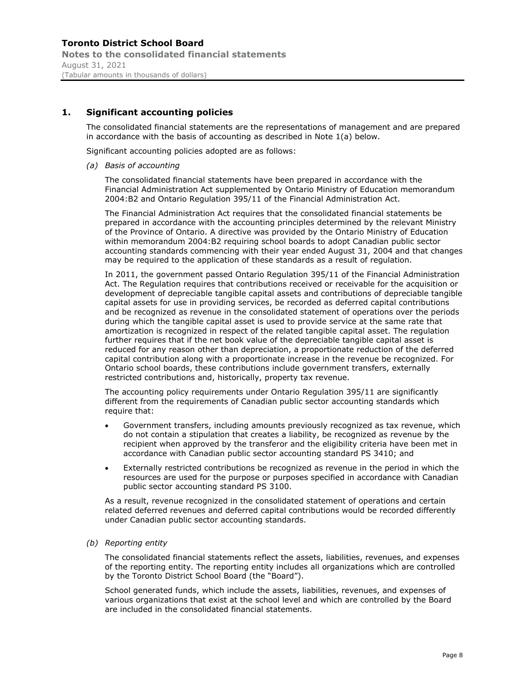## **1. Significant accounting policies**

The consolidated financial statements are the representations of management and are prepared in accordance with the basis of accounting as described in Note 1(a) below.

Significant accounting policies adopted are as follows:

*(a) Basis of accounting* 

The consolidated financial statements have been prepared in accordance with the Financial Administration Act supplemented by Ontario Ministry of Education memorandum 2004:B2 and Ontario Regulation 395/11 of the Financial Administration Act.

The Financial Administration Act requires that the consolidated financial statements be prepared in accordance with the accounting principles determined by the relevant Ministry of the Province of Ontario. A directive was provided by the Ontario Ministry of Education within memorandum 2004:B2 requiring school boards to adopt Canadian public sector accounting standards commencing with their year ended August 31, 2004 and that changes may be required to the application of these standards as a result of regulation.

In 2011, the government passed Ontario Regulation 395/11 of the Financial Administration Act. The Regulation requires that contributions received or receivable for the acquisition or development of depreciable tangible capital assets and contributions of depreciable tangible capital assets for use in providing services, be recorded as deferred capital contributions and be recognized as revenue in the consolidated statement of operations over the periods during which the tangible capital asset is used to provide service at the same rate that amortization is recognized in respect of the related tangible capital asset. The regulation further requires that if the net book value of the depreciable tangible capital asset is reduced for any reason other than depreciation, a proportionate reduction of the deferred capital contribution along with a proportionate increase in the revenue be recognized. For Ontario school boards, these contributions include government transfers, externally restricted contributions and, historically, property tax revenue.

The accounting policy requirements under Ontario Regulation 395/11 are significantly different from the requirements of Canadian public sector accounting standards which require that:

- Government transfers, including amounts previously recognized as tax revenue, which do not contain a stipulation that creates a liability, be recognized as revenue by the recipient when approved by the transferor and the eligibility criteria have been met in accordance with Canadian public sector accounting standard PS 3410; and
- Externally restricted contributions be recognized as revenue in the period in which the resources are used for the purpose or purposes specified in accordance with Canadian public sector accounting standard PS 3100.

As a result, revenue recognized in the consolidated statement of operations and certain related deferred revenues and deferred capital contributions would be recorded differently under Canadian public sector accounting standards.

*(b) Reporting entity* 

The consolidated financial statements reflect the assets, liabilities, revenues, and expenses of the reporting entity. The reporting entity includes all organizations which are controlled by the Toronto District School Board (the "Board").

School generated funds, which include the assets, liabilities, revenues, and expenses of various organizations that exist at the school level and which are controlled by the Board are included in the consolidated financial statements.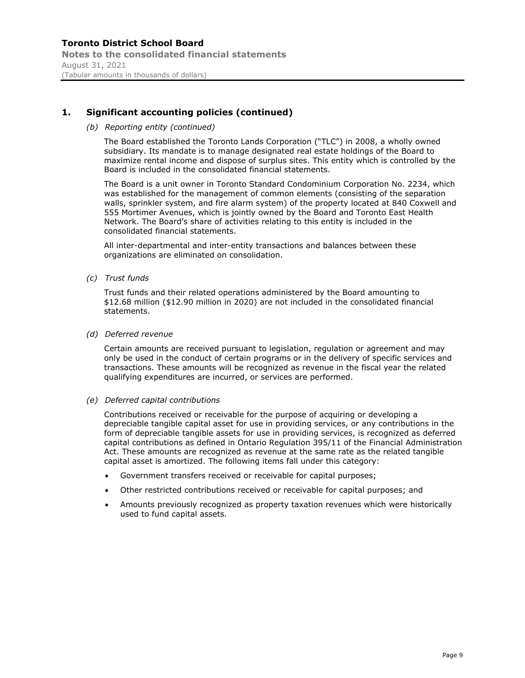## **Toronto District School Board Notes to the consolidated financial statements** August 31, 2021 (Tabular amounts in thousands of dollars)

## **1. Significant accounting policies (continued)**

#### *(b) Reporting entity (continued)*

The Board established the Toronto Lands Corporation ("TLC") in 2008, a wholly owned subsidiary. Its mandate is to manage designated real estate holdings of the Board to maximize rental income and dispose of surplus sites. This entity which is controlled by the Board is included in the consolidated financial statements.

The Board is a unit owner in Toronto Standard Condominium Corporation No. 2234, which was established for the management of common elements (consisting of the separation walls, sprinkler system, and fire alarm system) of the property located at 840 Coxwell and 555 Mortimer Avenues, which is jointly owned by the Board and Toronto East Health Network. The Board's share of activities relating to this entity is included in the consolidated financial statements.

All inter-departmental and inter-entity transactions and balances between these organizations are eliminated on consolidation.

*(c) Trust funds*

Trust funds and their related operations administered by the Board amounting to \$12.68 million (\$12.90 million in 2020) are not included in the consolidated financial statements.

#### *(d) Deferred revenue*

Certain amounts are received pursuant to legislation, regulation or agreement and may only be used in the conduct of certain programs or in the delivery of specific services and transactions. These amounts will be recognized as revenue in the fiscal year the related qualifying expenditures are incurred, or services are performed.

#### *(e) Deferred capital contributions*

Contributions received or receivable for the purpose of acquiring or developing a depreciable tangible capital asset for use in providing services, or any contributions in the form of depreciable tangible assets for use in providing services, is recognized as deferred capital contributions as defined in Ontario Regulation 395/11 of the Financial Administration Act. These amounts are recognized as revenue at the same rate as the related tangible capital asset is amortized. The following items fall under this category:

- Government transfers received or receivable for capital purposes;
- Other restricted contributions received or receivable for capital purposes; and
- Amounts previously recognized as property taxation revenues which were historically used to fund capital assets.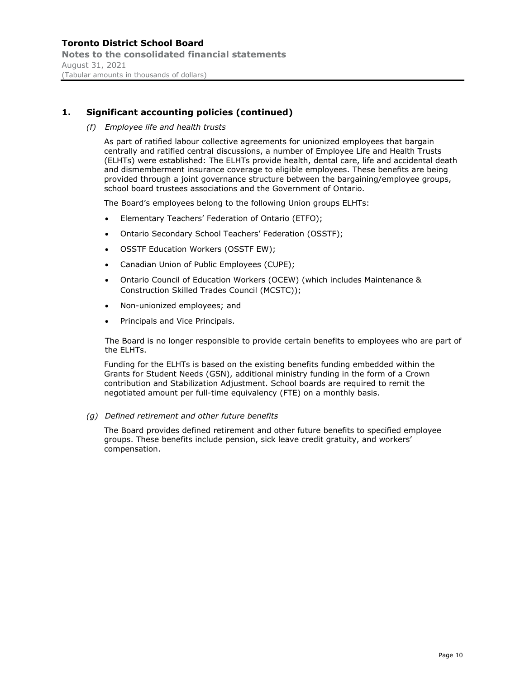**Notes to the consolidated financial statements** August 31, 2021 (Tabular amounts in thousands of dollars)

## **1. Significant accounting policies (continued)**

*(f) Employee life and health trusts* 

As part of ratified labour collective agreements for unionized employees that bargain centrally and ratified central discussions, a number of Employee Life and Health Trusts (ELHTs) were established: The ELHTs provide health, dental care, life and accidental death and dismemberment insurance coverage to eligible employees. These benefits are being provided through a joint governance structure between the bargaining/employee groups, school board trustees associations and the Government of Ontario.

The Board's employees belong to the following Union groups ELHTs:

- Elementary Teachers' Federation of Ontario (ETFO);
- Ontario Secondary School Teachers' Federation (OSSTF);
- OSSTF Education Workers (OSSTF EW);
- Canadian Union of Public Employees (CUPE);
- Ontario Council of Education Workers (OCEW) (which includes Maintenance & Construction Skilled Trades Council (MCSTC));
- Non-unionized employees; and
- Principals and Vice Principals.

The Board is no longer responsible to provide certain benefits to employees who are part of the ELHTs.

Funding for the ELHTs is based on the existing benefits funding embedded within the Grants for Student Needs (GSN), additional ministry funding in the form of a Crown contribution and Stabilization Adjustment. School boards are required to remit the negotiated amount per full-time equivalency (FTE) on a monthly basis.

*(g) Defined retirement and other future benefits* 

The Board provides defined retirement and other future benefits to specified employee groups. These benefits include pension, sick leave credit gratuity, and workers' compensation.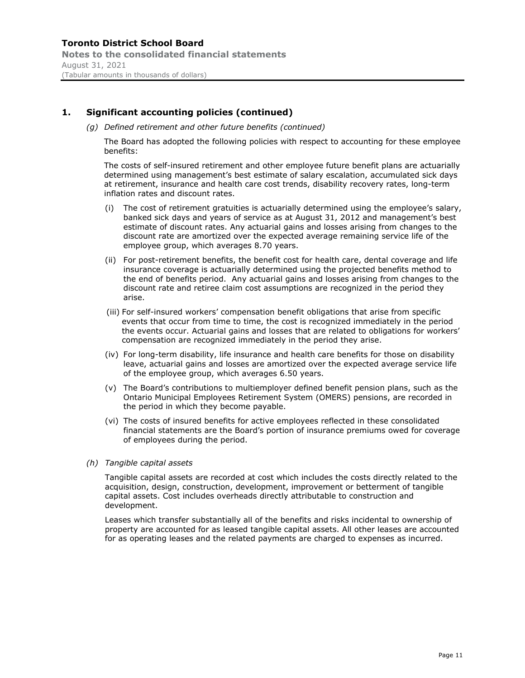### **Toronto District School Board Notes to the consolidated financial statements** August 31, 2021 (Tabular amounts in thousands of dollars)

## **1. Significant accounting policies (continued)**

*(g) Defined retirement and other future benefits (continued)* 

The Board has adopted the following policies with respect to accounting for these employee benefits:

The costs of self-insured retirement and other employee future benefit plans are actuarially determined using management's best estimate of salary escalation, accumulated sick days at retirement, insurance and health care cost trends, disability recovery rates, long-term inflation rates and discount rates.

- (i) The cost of retirement gratuities is actuarially determined using the employee's salary, banked sick days and years of service as at August 31, 2012 and management's best estimate of discount rates. Any actuarial gains and losses arising from changes to the discount rate are amortized over the expected average remaining service life of the employee group, which averages 8.70 years.
- (ii) For post-retirement benefits, the benefit cost for health care, dental coverage and life insurance coverage is actuarially determined using the projected benefits method to the end of benefits period. Any actuarial gains and losses arising from changes to the discount rate and retiree claim cost assumptions are recognized in the period they arise.
- (iii) For self-insured workers' compensation benefit obligations that arise from specific events that occur from time to time, the cost is recognized immediately in the period the events occur. Actuarial gains and losses that are related to obligations for workers' compensation are recognized immediately in the period they arise.
- (iv) For long-term disability, life insurance and health care benefits for those on disability leave, actuarial gains and losses are amortized over the expected average service life of the employee group, which averages 6.50 years.
- (v) The Board's contributions to multiemployer defined benefit pension plans, such as the Ontario Municipal Employees Retirement System (OMERS) pensions, are recorded in the period in which they become payable.
- (vi) The costs of insured benefits for active employees reflected in these consolidated financial statements are the Board's portion of insurance premiums owed for coverage of employees during the period.

#### *(h) Tangible capital assets*

Tangible capital assets are recorded at cost which includes the costs directly related to the acquisition, design, construction, development, improvement or betterment of tangible capital assets. Cost includes overheads directly attributable to construction and development.

Leases which transfer substantially all of the benefits and risks incidental to ownership of property are accounted for as leased tangible capital assets. All other leases are accounted for as operating leases and the related payments are charged to expenses as incurred.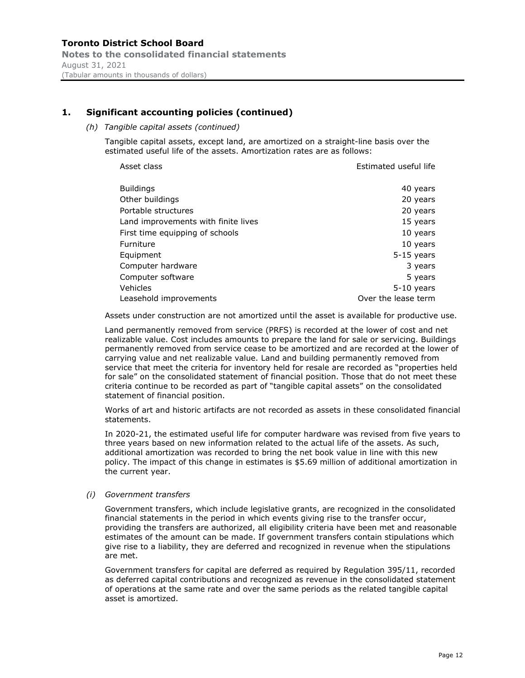#### (Tabular amounts in thousands of dollars)

### **1. Significant accounting policies (continued)**

*(h) Tangible capital assets (continued)*

Tangible capital assets, except land, are amortized on a straight-line basis over the estimated useful life of the assets. Amortization rates are as follows:

| Asset class                         | Estimated useful life |
|-------------------------------------|-----------------------|
| <b>Buildings</b>                    | 40 years              |
| Other buildings                     | 20 years              |
| Portable structures                 | 20 years              |
| Land improvements with finite lives | 15 years              |
| First time equipping of schools     | 10 years              |
| Furniture                           | 10 years              |
| Equipment                           | $5-15$ years          |
| Computer hardware                   | 3 years               |
| Computer software                   | 5 years               |
| Vehicles                            | $5-10$ years          |
| Leasehold improvements              | Over the lease term   |

Assets under construction are not amortized until the asset is available for productive use.

Land permanently removed from service (PRFS) is recorded at the lower of cost and net realizable value. Cost includes amounts to prepare the land for sale or servicing. Buildings permanently removed from service cease to be amortized and are recorded at the lower of carrying value and net realizable value. Land and building permanently removed from service that meet the criteria for inventory held for resale are recorded as "properties held for sale" on the consolidated statement of financial position. Those that do not meet these criteria continue to be recorded as part of "tangible capital assets" on the consolidated statement of financial position.

Works of art and historic artifacts are not recorded as assets in these consolidated financial statements.

In 2020-21, the estimated useful life for computer hardware was revised from five years to three years based on new information related to the actual life of the assets. As such, additional amortization was recorded to bring the net book value in line with this new policy. The impact of this change in estimates is \$5.69 million of additional amortization in the current year.

*(i) Government transfers*

Government transfers, which include legislative grants, are recognized in the consolidated financial statements in the period in which events giving rise to the transfer occur, providing the transfers are authorized, all eligibility criteria have been met and reasonable estimates of the amount can be made. If government transfers contain stipulations which give rise to a liability, they are deferred and recognized in revenue when the stipulations are met.

Government transfers for capital are deferred as required by Regulation 395/11, recorded as deferred capital contributions and recognized as revenue in the consolidated statement of operations at the same rate and over the same periods as the related tangible capital asset is amortized.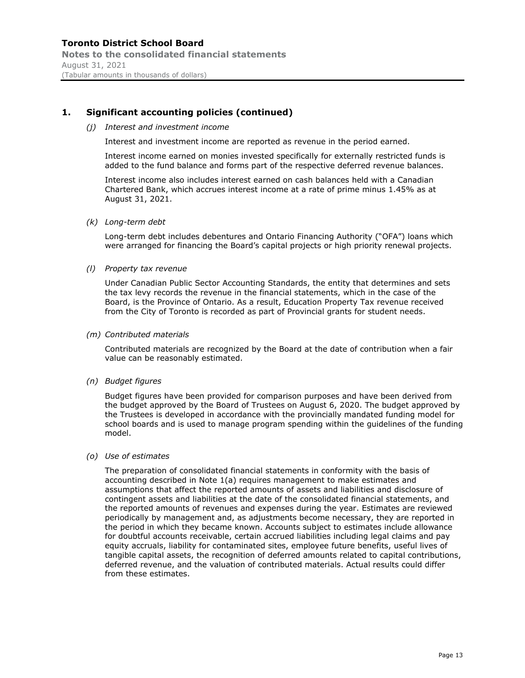## **Toronto District School Board Notes to the consolidated financial statements** August 31, 2021 (Tabular amounts in thousands of dollars)

## **1. Significant accounting policies (continued)**

#### *(j) Interest and investment income*

Interest and investment income are reported as revenue in the period earned.

Interest income earned on monies invested specifically for externally restricted funds is added to the fund balance and forms part of the respective deferred revenue balances.

Interest income also includes interest earned on cash balances held with a Canadian Chartered Bank, which accrues interest income at a rate of prime minus 1.45% as at August 31, 2021.

#### *(k) Long-term debt*

Long-term debt includes debentures and Ontario Financing Authority ("OFA") loans which were arranged for financing the Board's capital projects or high priority renewal projects.

#### *(l) Property tax revenue*

Under Canadian Public Sector Accounting Standards, the entity that determines and sets the tax levy records the revenue in the financial statements, which in the case of the Board, is the Province of Ontario. As a result, Education Property Tax revenue received from the City of Toronto is recorded as part of Provincial grants for student needs.

#### *(m) Contributed materials*

Contributed materials are recognized by the Board at the date of contribution when a fair value can be reasonably estimated.

#### *(n) Budget figures*

Budget figures have been provided for comparison purposes and have been derived from the budget approved by the Board of Trustees on August 6, 2020. The budget approved by the Trustees is developed in accordance with the provincially mandated funding model for school boards and is used to manage program spending within the guidelines of the funding model.

#### *(o) Use of estimates*

The preparation of consolidated financial statements in conformity with the basis of accounting described in Note 1(a) requires management to make estimates and assumptions that affect the reported amounts of assets and liabilities and disclosure of contingent assets and liabilities at the date of the consolidated financial statements, and the reported amounts of revenues and expenses during the year. Estimates are reviewed periodically by management and, as adjustments become necessary, they are reported in the period in which they became known. Accounts subject to estimates include allowance for doubtful accounts receivable, certain accrued liabilities including legal claims and pay equity accruals, liability for contaminated sites, employee future benefits, useful lives of tangible capital assets, the recognition of deferred amounts related to capital contributions, deferred revenue, and the valuation of contributed materials. Actual results could differ from these estimates.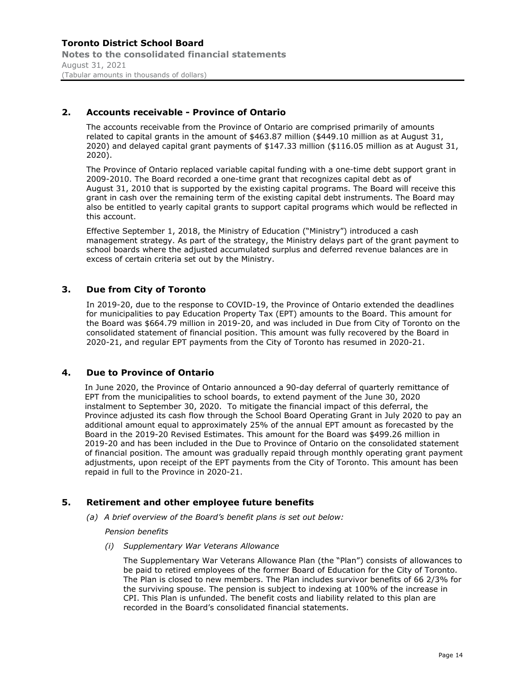## **2. Accounts receivable - Province of Ontario**

The accounts receivable from the Province of Ontario are comprised primarily of amounts related to capital grants in the amount of \$463.87 million (\$449.10 million as at August 31, 2020) and delayed capital grant payments of \$147.33 million (\$116.05 million as at August 31, 2020).

The Province of Ontario replaced variable capital funding with a one-time debt support grant in 2009-2010. The Board recorded a one-time grant that recognizes capital debt as of August 31, 2010 that is supported by the existing capital programs. The Board will receive this grant in cash over the remaining term of the existing capital debt instruments. The Board may also be entitled to yearly capital grants to support capital programs which would be reflected in this account.

Effective September 1, 2018, the Ministry of Education ("Ministry") introduced a cash management strategy. As part of the strategy, the Ministry delays part of the grant payment to school boards where the adjusted accumulated surplus and deferred revenue balances are in excess of certain criteria set out by the Ministry.

## **3. Due from City of Toronto**

In 2019-20, due to the response to COVID-19, the Province of Ontario extended the deadlines for municipalities to pay Education Property Tax (EPT) amounts to the Board. This amount for the Board was \$664.79 million in 2019-20, and was included in Due from City of Toronto on the consolidated statement of financial position. This amount was fully recovered by the Board in 2020-21, and regular EPT payments from the City of Toronto has resumed in 2020-21.

### **4. Due to Province of Ontario**

In June 2020, the Province of Ontario announced a 90-day deferral of quarterly remittance of EPT from the municipalities to school boards, to extend payment of the June 30, 2020 instalment to September 30, 2020. To mitigate the financial impact of this deferral, the Province adjusted its cash flow through the School Board Operating Grant in July 2020 to pay an additional amount equal to approximately 25% of the annual EPT amount as forecasted by the Board in the 2019-20 Revised Estimates. This amount for the Board was \$499.26 million in 2019-20 and has been included in the Due to Province of Ontario on the consolidated statement of financial position. The amount was gradually repaid through monthly operating grant payment adjustments, upon receipt of the EPT payments from the City of Toronto. This amount has been repaid in full to the Province in 2020-21.

### **5. Retirement and other employee future benefits**

*(a) A brief overview of the Board's benefit plans is set out below:*

#### *Pension benefits*

*(i) Supplementary War Veterans Allowance* 

The Supplementary War Veterans Allowance Plan (the "Plan") consists of allowances to be paid to retired employees of the former Board of Education for the City of Toronto. The Plan is closed to new members. The Plan includes survivor benefits of 66 2/3% for the surviving spouse. The pension is subject to indexing at 100% of the increase in CPI. This Plan is unfunded. The benefit costs and liability related to this plan are recorded in the Board's consolidated financial statements.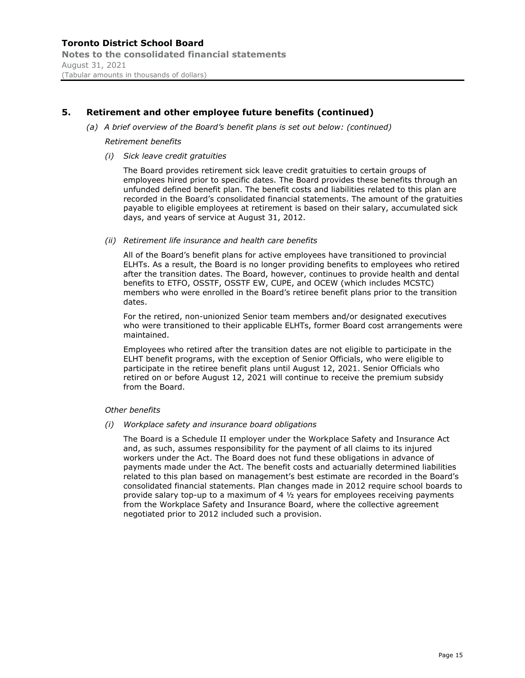*(a) A brief overview of the Board's benefit plans is set out below: (continued)*

#### *Retirement benefits*

*(i) Sick leave credit gratuities* 

The Board provides retirement sick leave credit gratuities to certain groups of employees hired prior to specific dates. The Board provides these benefits through an unfunded defined benefit plan. The benefit costs and liabilities related to this plan are recorded in the Board's consolidated financial statements. The amount of the gratuities payable to eligible employees at retirement is based on their salary, accumulated sick days, and years of service at August 31, 2012.

#### *(ii) Retirement life insurance and health care benefits*

All of the Board's benefit plans for active employees have transitioned to provincial ELHTs. As a result, the Board is no longer providing benefits to employees who retired after the transition dates. The Board, however, continues to provide health and dental benefits to ETFO, OSSTF, OSSTF EW, CUPE, and OCEW (which includes MCSTC) members who were enrolled in the Board's retiree benefit plans prior to the transition dates.

For the retired, non-unionized Senior team members and/or designated executives who were transitioned to their applicable ELHTs, former Board cost arrangements were maintained.

Employees who retired after the transition dates are not eligible to participate in the ELHT benefit programs, with the exception of Senior Officials, who were eligible to participate in the retiree benefit plans until August 12, 2021. Senior Officials who retired on or before August 12, 2021 will continue to receive the premium subsidy from the Board.

#### *Other benefits*

*(i) Workplace safety and insurance board obligations*

The Board is a Schedule II employer under the Workplace Safety and Insurance Act and, as such, assumes responsibility for the payment of all claims to its injured workers under the Act. The Board does not fund these obligations in advance of payments made under the Act. The benefit costs and actuarially determined liabilities related to this plan based on management's best estimate are recorded in the Board's consolidated financial statements. Plan changes made in 2012 require school boards to provide salary top-up to a maximum of 4 ½ years for employees receiving payments from the Workplace Safety and Insurance Board, where the collective agreement negotiated prior to 2012 included such a provision.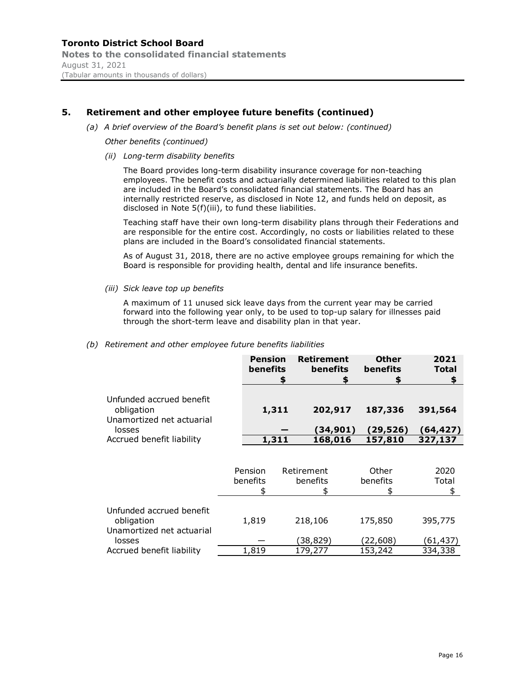*(a) A brief overview of the Board's benefit plans is set out below: (continued)*

*Other benefits (continued)*

*(ii) Long-term disability benefits*

The Board provides long-term disability insurance coverage for non-teaching employees. The benefit costs and actuarially determined liabilities related to this plan are included in the Board's consolidated financial statements. The Board has an internally restricted reserve, as disclosed in Note 12, and funds held on deposit, as disclosed in Note 5(f)(iii), to fund these liabilities.

Teaching staff have their own long-term disability plans through their Federations and are responsible for the entire cost. Accordingly, no costs or liabilities related to these plans are included in the Board's consolidated financial statements.

As of August 31, 2018, there are no active employee groups remaining for which the Board is responsible for providing health, dental and life insurance benefits.

*(iii) Sick leave top up benefits*

A maximum of 11 unused sick leave days from the current year may be carried forward into the following year only, to be used to top-up salary for illnesses paid through the short-term leave and disability plan in that year.

#### *(b) Retirement and other employee future benefits liabilities*

|       |          |           | <b>Total</b> |
|-------|----------|-----------|--------------|
| 1,311 | 202,917  | 187,336   | 391,564      |
|       | (34,901) | (29, 526) | (64,427)     |
| 1,311 | 168,016  | 157,810   | 327,137      |
|       |          |           |              |

|                                                                  | Pension<br>benefits | Retirement<br>benefits | Other<br>benefits   | 2020<br>Total       |
|------------------------------------------------------------------|---------------------|------------------------|---------------------|---------------------|
| Unfunded accrued benefit<br>obligation                           | 1,819               | 218,106                | 175,850             | 395,775             |
| Unamortized net actuarial<br>losses<br>Accrued benefit liability | 1,819               | (38, 829)<br>179,277   | (22,608)<br>153,242 | (61,437)<br>334,338 |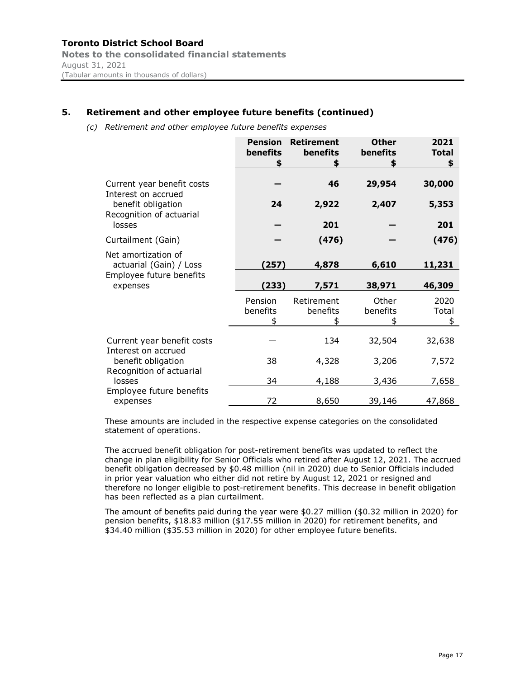*(c) Retirement and other employee future benefits expenses*

|                                                   | <b>Pension</b><br><b>benefits</b><br>\$ | <b>Retirement</b><br>benefits<br>\$ | <b>Other</b><br>benefits | 2021<br><b>Total</b><br>\$ |
|---------------------------------------------------|-----------------------------------------|-------------------------------------|--------------------------|----------------------------|
| Current year benefit costs<br>Interest on accrued |                                         | 46                                  | 29,954                   | 30,000                     |
| benefit obligation<br>Recognition of actuarial    | 24                                      | 2,922                               | 2,407                    | 5,353                      |
| losses                                            |                                         | 201                                 |                          | 201                        |
| Curtailment (Gain)                                |                                         | (476)                               |                          | (476)                      |
| Net amortization of<br>actuarial (Gain) / Loss    | (257)                                   | 4,878                               | 6,610                    | 11,231                     |
| Employee future benefits<br>expenses              | (233)                                   | 7,571                               | 38,971                   | 46,309                     |
|                                                   | Pension<br>benefits                     | Retirement<br>benefits              | Other<br>benefits<br>S   | 2020<br>Total<br>\$        |
| Current year benefit costs<br>Interest on accrued |                                         | 134                                 | 32,504                   | 32,638                     |
| benefit obligation<br>Recognition of actuarial    | 38                                      | 4,328                               | 3,206                    | 7,572                      |
| losses                                            | 34                                      | 4,188                               | 3,436                    | 7,658                      |
| Employee future benefits<br>expenses              | 72                                      | 8,650                               | 39,146                   | 47,868                     |

These amounts are included in the respective expense categories on the consolidated statement of operations.

The accrued benefit obligation for post-retirement benefits was updated to reflect the change in plan eligibility for Senior Officials who retired after August 12, 2021. The accrued benefit obligation decreased by \$0.48 million (nil in 2020) due to Senior Officials included in prior year valuation who either did not retire by August 12, 2021 or resigned and therefore no longer eligible to post-retirement benefits. This decrease in benefit obligation has been reflected as a plan curtailment.

The amount of benefits paid during the year were \$0.27 million (\$0.32 million in 2020) for pension benefits, \$18.83 million (\$17.55 million in 2020) for retirement benefits, and \$34.40 million (\$35.53 million in 2020) for other employee future benefits.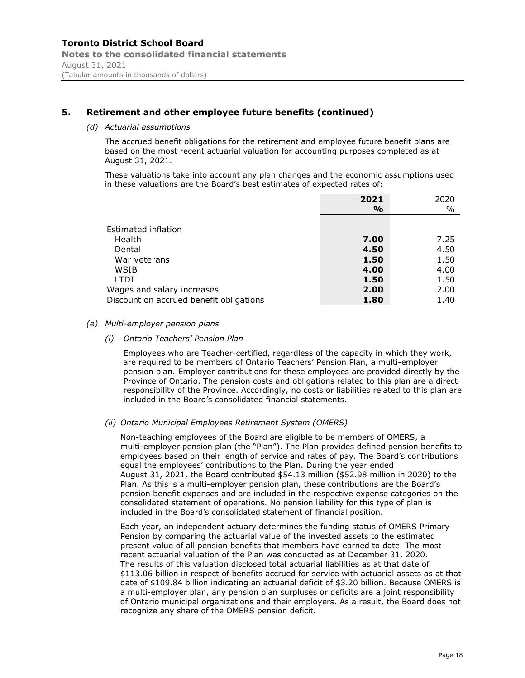#### *(d) Actuarial assumptions*

The accrued benefit obligations for the retirement and employee future benefit plans are based on the most recent actuarial valuation for accounting purposes completed as at August 31, 2021.

These valuations take into account any plan changes and the economic assumptions used in these valuations are the Board's best estimates of expected rates of:

|                                         | 2021          | 2020 |
|-----------------------------------------|---------------|------|
|                                         | $\frac{6}{6}$ | $\%$ |
|                                         |               |      |
| Estimated inflation                     |               |      |
| Health                                  | 7.00          | 7.25 |
| Dental                                  | 4.50          | 4.50 |
| War veterans                            | 1.50          | 1.50 |
| WSIB                                    | 4.00          | 4.00 |
| LTDI                                    | 1.50          | 1.50 |
| Wages and salary increases              | 2.00          | 2.00 |
| Discount on accrued benefit obligations | 1.80          | 1.40 |

#### *(e) Multi-employer pension plans*

*(i) Ontario Teachers' Pension Plan* 

Employees who are Teacher-certified, regardless of the capacity in which they work, are required to be members of Ontario Teachers' Pension Plan, a multi-employer pension plan. Employer contributions for these employees are provided directly by the Province of Ontario. The pension costs and obligations related to this plan are a direct responsibility of the Province. Accordingly, no costs or liabilities related to this plan are included in the Board's consolidated financial statements.

#### *(ii) Ontario Municipal Employees Retirement System (OMERS)*

Non-teaching employees of the Board are eligible to be members of OMERS, a multi-employer pension plan (the "Plan"). The Plan provides defined pension benefits to employees based on their length of service and rates of pay. The Board's contributions equal the employees' contributions to the Plan. During the year ended August 31, 2021, the Board contributed \$54.13 million (\$52.98 million in 2020) to the Plan. As this is a multi-employer pension plan, these contributions are the Board's pension benefit expenses and are included in the respective expense categories on the consolidated statement of operations. No pension liability for this type of plan is included in the Board's consolidated statement of financial position.

Each year, an independent actuary determines the funding status of OMERS Primary Pension by comparing the actuarial value of the invested assets to the estimated present value of all pension benefits that members have earned to date. The most recent actuarial valuation of the Plan was conducted as at December 31, 2020. The results of this valuation disclosed total actuarial liabilities as at that date of \$113.06 billion in respect of benefits accrued for service with actuarial assets as at that date of \$109.84 billion indicating an actuarial deficit of \$3.20 billion. Because OMERS is a multi-employer plan, any pension plan surpluses or deficits are a joint responsibility of Ontario municipal organizations and their employers. As a result, the Board does not recognize any share of the OMERS pension deficit.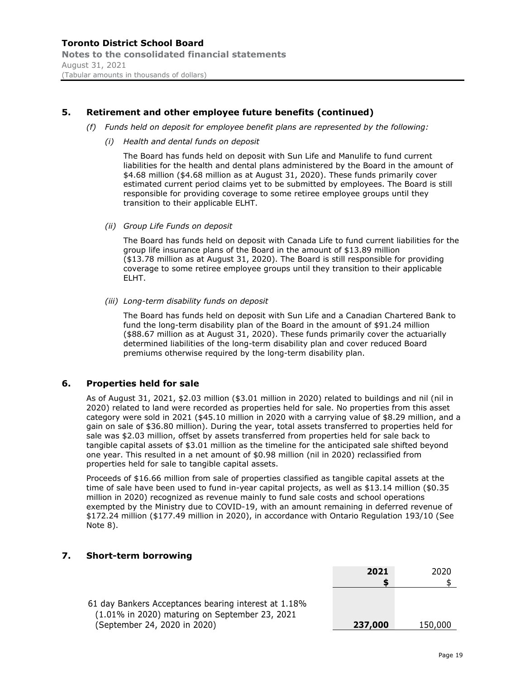- *(f) Funds held on deposit for employee benefit plans are represented by the following:*
	- *(i) Health and dental funds on deposit*

The Board has funds held on deposit with Sun Life and Manulife to fund current liabilities for the health and dental plans administered by the Board in the amount of \$4.68 million (\$4.68 million as at August 31, 2020). These funds primarily cover estimated current period claims yet to be submitted by employees. The Board is still responsible for providing coverage to some retiree employee groups until they transition to their applicable ELHT.

*(ii) Group Life Funds on deposit*

The Board has funds held on deposit with Canada Life to fund current liabilities for the group life insurance plans of the Board in the amount of \$13.89 million (\$13.78 million as at August 31, 2020). The Board is still responsible for providing coverage to some retiree employee groups until they transition to their applicable ELHT.

*(iii) Long-term disability funds on deposit*

The Board has funds held on deposit with Sun Life and a Canadian Chartered Bank to fund the long-term disability plan of the Board in the amount of \$91.24 million (\$88.67 million as at August 31, 2020). These funds primarily cover the actuarially determined liabilities of the long-term disability plan and cover reduced Board premiums otherwise required by the long-term disability plan.

#### **6. Properties held for sale**

As of August 31, 2021, \$2.03 million (\$3.01 million in 2020) related to buildings and nil (nil in 2020) related to land were recorded as properties held for sale. No properties from this asset category were sold in 2021 (\$45.10 million in 2020 with a carrying value of \$8.29 million, and a gain on sale of \$36.80 million). During the year, total assets transferred to properties held for sale was \$2.03 million, offset by assets transferred from properties held for sale back to tangible capital assets of \$3.01 million as the timeline for the anticipated sale shifted beyond one year. This resulted in a net amount of \$0.98 million (nil in 2020) reclassified from properties held for sale to tangible capital assets.

Proceeds of \$16.66 million from sale of properties classified as tangible capital assets at the time of sale have been used to fund in-year capital projects, as well as \$13.14 million (\$0.35 million in 2020) recognized as revenue mainly to fund sale costs and school operations exempted by the Ministry due to COVID-19, with an amount remaining in deferred revenue of \$172.24 million (\$177.49 million in 2020), in accordance with Ontario Regulation 193/10 (See Note 8).

### **7. Short-term borrowing**

|                                                                                                        | LULL    | ZUZU    |
|--------------------------------------------------------------------------------------------------------|---------|---------|
|                                                                                                        |         |         |
| 61 day Bankers Acceptances bearing interest at 1.18%<br>(1.01% in 2020) maturing on September 23, 2021 |         |         |
| (September 24, 2020 in 2020)                                                                           | 237,000 | 150,000 |

**2021** 2020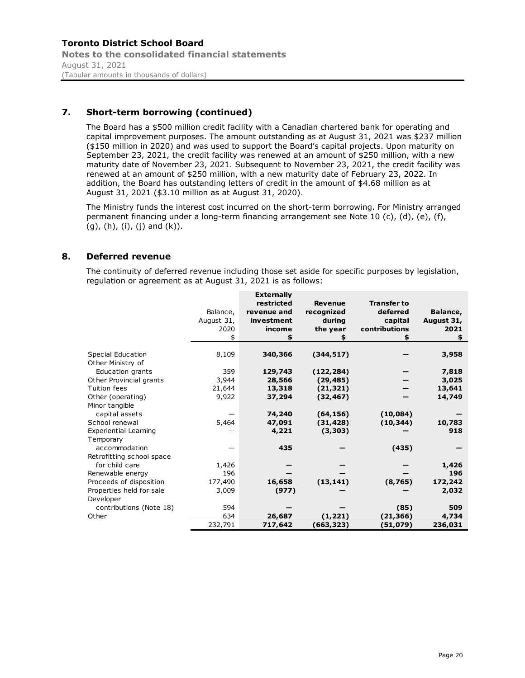## **7. Short-term borrowing (continued)**

The Board has a \$500 million credit facility with a Canadian chartered bank for operating and capital improvement purposes. The amount outstanding as at August 31, 2021 was \$237 million (\$150 million in 2020) and was used to support the Board's capital projects. Upon maturity on September 23, 2021, the credit facility was renewed at an amount of \$250 million, with a new maturity date of November 23, 2021. Subsequent to November 23, 2021, the credit facility was renewed at an amount of \$250 million, with a new maturity date of February 23, 2022. In addition, the Board has outstanding letters of credit in the amount of \$4.68 million as at August 31, 2021 (\$3.10 million as at August 31, 2020).

The Ministry funds the interest cost incurred on the short-term borrowing. For Ministry arranged permanent financing under a long-term financing arrangement see Note 10 (c), (d), (e), (f),  $(g)$ ,  $(h)$ ,  $(i)$ ,  $(j)$  and  $(k)$ ).

### **8. Deferred revenue**

The continuity of deferred revenue including those set aside for specific purposes by legislation, regulation or agreement as at August 31, 2021 is as follows:

|                              |            | <b>Externally</b> |                |                    |            |
|------------------------------|------------|-------------------|----------------|--------------------|------------|
|                              |            | restricted        | <b>Revenue</b> | <b>Transfer to</b> |            |
|                              | Balance,   | revenue and       | recognized     | deferred           | Balance,   |
|                              | August 31, | investment        | durina         | capital            | August 31, |
|                              | 2020       | income            | the year       | contributions      | 2021       |
|                              |            | \$                |                |                    | \$         |
|                              |            |                   |                |                    |            |
| Special Education            | 8,109      | 340,366           | (344, 517)     |                    | 3,958      |
| Other Ministry of            |            |                   |                |                    |            |
| Education grants             | 359        | 129,743           | (122, 284)     |                    | 7,818      |
| Other Provincial grants      | 3,944      | 28,566            | (29, 485)      |                    | 3,025      |
| Tuition fees                 | 21,644     | 13,318            | (21, 321)      |                    | 13,641     |
| Other (operating)            | 9,922      | 37,294            | (32, 467)      |                    | 14,749     |
| Minor tangible               |            |                   |                |                    |            |
| capital assets               |            | 74,240            | (64, 156)      | (10,084)           |            |
| School renewal               | 5,464      | 47,091            | (31, 428)      | (10, 344)          | 10,783     |
| <b>Experiential Learning</b> |            | 4,221             | (3,303)        |                    | 918        |
| Temporary                    |            |                   |                |                    |            |
| accommodation                |            | 435               |                | (435)              |            |
| Retrofitting school space    |            |                   |                |                    |            |
| for child care               | 1,426      |                   |                |                    | 1,426      |
| Renewable energy             | 196        |                   |                |                    | 196        |
| Proceeds of disposition      | 177,490    | 16,658            | (13, 141)      | (8,765)            | 172,242    |
| Properties held for sale     | 3,009      | (977)             |                |                    | 2,032      |
| Developer                    |            |                   |                |                    |            |
| contributions (Note 18)      | 594        |                   |                | (85)               | 509        |
| Other                        | 634        | 26,687            | (1, 221)       | (21,366)           | 4,734      |
|                              | 232,791    | 717,642           | (663,323)      | (51,079)           | 236,031    |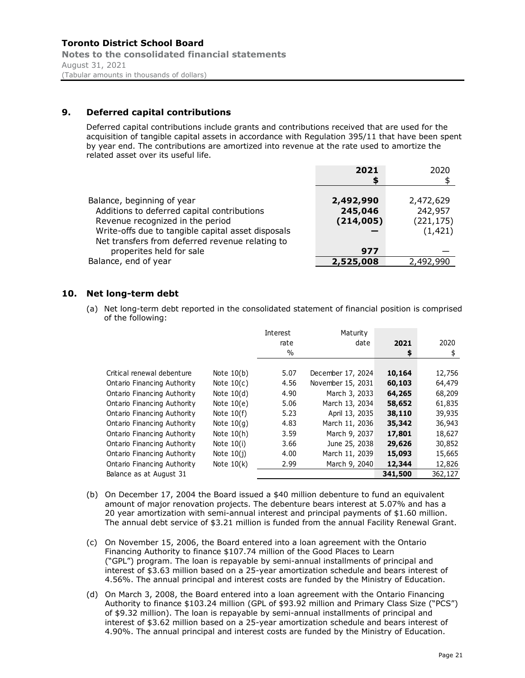August 31, 2021 (Tabular amounts in thousands of dollars)

## **9. Deferred capital contributions**

Deferred capital contributions include grants and contributions received that are used for the acquisition of tangible capital assets in accordance with Regulation 395/11 that have been spent by year end. The contributions are amortized into revenue at the rate used to amortize the related asset over its useful life.

|                                                                                                                                       | 2021                 | 2020                              |
|---------------------------------------------------------------------------------------------------------------------------------------|----------------------|-----------------------------------|
| Balance, beginning of year                                                                                                            | 2,492,990            | 2,472,629                         |
| Additions to deferred capital contributions<br>Revenue recognized in the period<br>Write-offs due to tangible capital asset disposals | 245,046<br>(214,005) | 242,957<br>(221, 175)<br>(1, 421) |
| Net transfers from deferred revenue relating to<br>properites held for sale                                                           | 977                  |                                   |
| Balance, end of year                                                                                                                  | 2,525,008            | 2,492,990                         |

## **10. Net long-term debt**

(a) Net long-term debt reported in the consolidated statement of financial position is comprised of the following:

|                             |              | Interest | Maturity          |         |         |
|-----------------------------|--------------|----------|-------------------|---------|---------|
|                             |              | rate     | date              | 2021    | 2020    |
|                             |              | $\%$     |                   | \$      | \$      |
|                             |              |          |                   |         |         |
| Critical renewal debenture  | Note $10(b)$ | 5.07     | December 17, 2024 | 10,164  | 12,756  |
| Ontario Financing Authority | Note $10(c)$ | 4.56     | November 15, 2031 | 60,103  | 64,479  |
| Ontario Financing Authority | Note $10(d)$ | 4.90     | March 3, 2033     | 64,265  | 68,209  |
| Ontario Financing Authority | Note $10(e)$ | 5.06     | March 13, 2034    | 58,652  | 61,835  |
| Ontario Financing Authority | Note $10(f)$ | 5.23     | April 13, 2035    | 38,110  | 39,935  |
| Ontario Financing Authority | Note $10(q)$ | 4.83     | March 11, 2036    | 35,342  | 36,943  |
| Ontario Financing Authority | Note $10(h)$ | 3.59     | March 9, 2037     | 17,801  | 18,627  |
| Ontario Financing Authority | Note $10(i)$ | 3.66     | June 25, 2038     | 29,626  | 30,852  |
| Ontario Financing Authority | Note $10(i)$ | 4.00     | March 11, 2039    | 15,093  | 15,665  |
| Ontario Financing Authority | Note $10(k)$ | 2.99     | March 9, 2040     | 12,344  | 12,826  |
| Balance as at August 31     |              |          |                   | 341,500 | 362,127 |

- (b) On December 17, 2004 the Board issued a \$40 million debenture to fund an equivalent amount of major renovation projects. The debenture bears interest at 5.07% and has a 20 year amortization with semi-annual interest and principal payments of \$1.60 million. The annual debt service of \$3.21 million is funded from the annual Facility Renewal Grant.
- (c) On November 15, 2006, the Board entered into a loan agreement with the Ontario Financing Authority to finance \$107.74 million of the Good Places to Learn ("GPL") program. The loan is repayable by semi-annual installments of principal and interest of \$3.63 million based on a 25-year amortization schedule and bears interest of 4.56%. The annual principal and interest costs are funded by the Ministry of Education.
- (d) On March 3, 2008, the Board entered into a loan agreement with the Ontario Financing Authority to finance \$103.24 million (GPL of \$93.92 million and Primary Class Size ("PCS") of \$9.32 million). The loan is repayable by semi-annual installments of principal and interest of \$3.62 million based on a 25-year amortization schedule and bears interest of 4.90%. The annual principal and interest costs are funded by the Ministry of Education.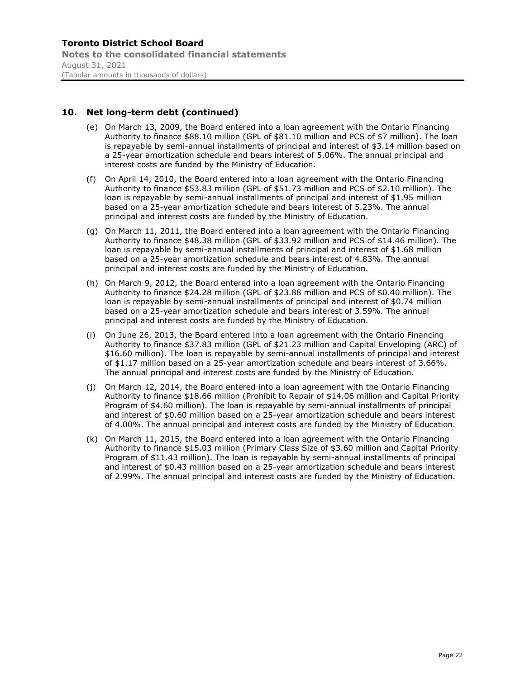## **10. Net long-term debt (continued)**

- (e) On March 13, 2009, the Board entered into a loan agreement with the Ontario Financing Authority to finance \$88.10 million (GPL of \$81.10 million and PCS of \$7 million). The loan is repayable by semi-annual installments of principal and interest of \$3.14 million based on a 25-year amortization schedule and bears interest of 5.06%. The annual principal and interest costs are funded by the Ministry of Education.
- (f) On April 14, 2010, the Board entered into a loan agreement with the Ontario Financing Authority to finance \$53.83 million (GPL of \$51.73 million and PCS of \$2.10 million). The loan is repayable by semi-annual installments of principal and interest of \$1.95 million based on a 25-year amortization schedule and bears interest of 5.23%. The annual principal and interest costs are funded by the Ministry of Education.
- (g) On March 11, 2011, the Board entered into a loan agreement with the Ontario Financing Authority to finance \$48.38 million (GPL of \$33.92 million and PCS of \$14.46 million). The loan is repayable by semi-annual installments of principal and interest of \$1.68 million based on a 25-year amortization schedule and bears interest of 4.83%. The annual principal and interest costs are funded by the Ministry of Education.
- (h) On March 9, 2012, the Board entered into a loan agreement with the Ontario Financing Authority to finance \$24.28 million (GPL of \$23.88 million and PCS of \$0.40 million). The loan is repayable by semi-annual installments of principal and interest of \$0.74 million based on a 25-year amortization schedule and bears interest of 3.59%. The annual principal and interest costs are funded by the Ministry of Education.
- (i) On June 26, 2013, the Board entered into a loan agreement with the Ontario Financing Authority to finance \$37.83 million (GPL of \$21.23 million and Capital Enveloping (ARC) of \$16.60 million). The loan is repayable by semi-annual installments of principal and interest of \$1.17 million based on a 25-year amortization schedule and bears interest of 3.66%. The annual principal and interest costs are funded by the Ministry of Education.
- (j) On March 12, 2014, the Board entered into a loan agreement with the Ontario Financing Authority to finance \$18.66 million (Prohibit to Repair of \$14.06 million and Capital Priority Program of \$4.60 million). The loan is repayable by semi-annual installments of principal and interest of \$0.60 million based on a 25-year amortization schedule and bears interest of 4.00%. The annual principal and interest costs are funded by the Ministry of Education.
- (k) On March 11, 2015, the Board entered into a loan agreement with the Ontario Financing Authority to finance \$15.03 million (Primary Class Size of \$3.60 million and Capital Priority Program of \$11.43 million). The loan is repayable by semi-annual installments of principal and interest of \$0.43 million based on a 25-year amortization schedule and bears interest of 2.99%. The annual principal and interest costs are funded by the Ministry of Education.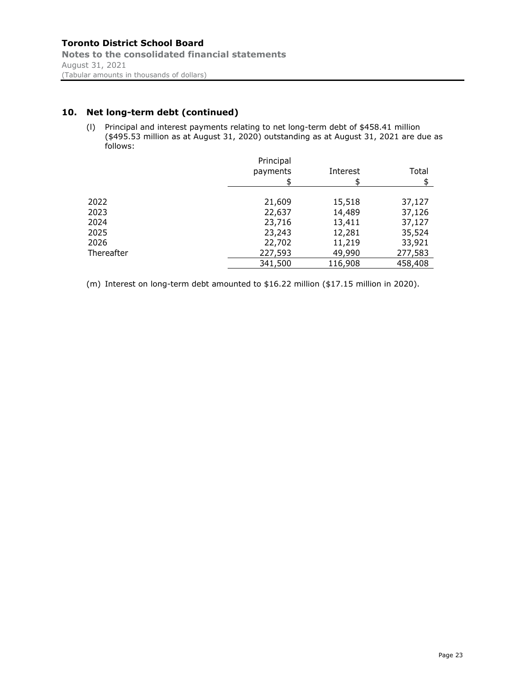## **10. Net long-term debt (continued)**

(l) Principal and interest payments relating to net long-term debt of \$458.41 million (\$495.53 million as at August 31, 2020) outstanding as at August 31, 2021 are due as follows:

|            | Principal<br>payments | Interest | Total<br>S |
|------------|-----------------------|----------|------------|
| 2022       | 21,609                | 15,518   | 37,127     |
| 2023       | 22,637                | 14,489   | 37,126     |
| 2024       | 23,716                | 13,411   | 37,127     |
| 2025       | 23,243                | 12,281   | 35,524     |
| 2026       | 22,702                | 11,219   | 33,921     |
| Thereafter | 227,593               | 49,990   | 277,583    |
|            | 341,500               | 116,908  | 458,408    |

(m) Interest on long-term debt amounted to \$16.22 million (\$17.15 million in 2020).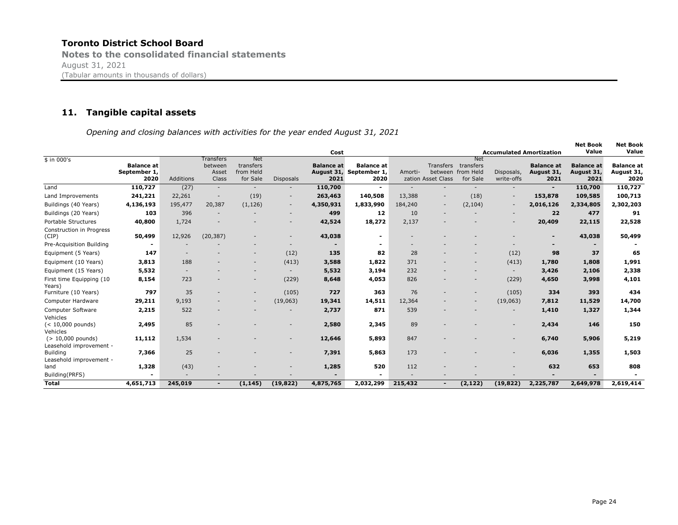#### **11. Tangible capital assets**

*Opening and closing balances with activities for the year ended August 31, 2021*

|                                                            |                                           |           |                                        |                                                  |                          | Cost                      |                                                      |         |                                                   |                                                  | <b>Accumulated Amortization</b> |                                         | <b>Net Book</b><br>Value                | Net Book<br>Value                       |
|------------------------------------------------------------|-------------------------------------------|-----------|----------------------------------------|--------------------------------------------------|--------------------------|---------------------------|------------------------------------------------------|---------|---------------------------------------------------|--------------------------------------------------|---------------------------------|-----------------------------------------|-----------------------------------------|-----------------------------------------|
| $$$ in 000's                                               | <b>Balance at</b><br>September 1,<br>2020 | Additions | Transfers<br>between<br>Asset<br>Class | <b>Net</b><br>transfers<br>from Held<br>for Sale | <b>Disposals</b>         | <b>Balance at</b><br>2021 | <b>Balance at</b><br>August 31, September 1,<br>2020 | Amorti- | <b>Transfers</b><br>between<br>zation Asset Class | <b>Net</b><br>transfers<br>from Held<br>for Sale | Disposals,<br>write-offs        | <b>Balance at</b><br>August 31,<br>2021 | <b>Balance</b> at<br>August 31,<br>2021 | <b>Balance at</b><br>August 31,<br>2020 |
| Land                                                       | 110,727                                   | (27)      |                                        | $\overline{\phantom{a}}$                         |                          | 110,700                   | $\sim$                                               |         |                                                   |                                                  |                                 | $\overline{\phantom{a}}$                | 110,700                                 | 110,727                                 |
| Land Improvements                                          | 241,221                                   | 22,261    |                                        | (19)                                             |                          | 263,463                   | 140,508                                              | 13,388  |                                                   | (18)                                             | $\overline{\phantom{a}}$        | 153,878                                 | 109,585                                 | 100,713                                 |
| Buildings (40 Years)                                       | 4,136,193                                 | 195,477   | 20,387                                 | (1, 126)                                         | $\overline{\phantom{0}}$ | 4,350,931                 | 1,833,990                                            | 184,240 | $\overline{\phantom{a}}$                          | (2, 104)                                         | $\overline{\phantom{a}}$        | 2,016,126                               | 2,334,805                               | 2,302,203                               |
| Buildings (20 Years)                                       | 103                                       | 396       |                                        |                                                  |                          | 499                       | 12                                                   | 10      |                                                   |                                                  |                                 | 22                                      | 477                                     | 91                                      |
| <b>Portable Structures</b>                                 | 40,800                                    | 1,724     |                                        |                                                  |                          | 42,524                    | 18,272                                               | 2,137   |                                                   |                                                  |                                 | 20,409                                  | 22,115                                  | 22,528                                  |
| Construction in Progress<br>(CIP)                          | 50,499                                    | 12,926    | (20, 387)                              |                                                  |                          | 43,038                    | ۰                                                    |         |                                                   |                                                  |                                 | $\blacksquare$                          | 43,038                                  | 50,499                                  |
| Pre-Acquisition Building                                   |                                           |           |                                        |                                                  |                          |                           |                                                      |         |                                                   |                                                  |                                 |                                         |                                         |                                         |
| Equipment (5 Years)                                        | 147                                       |           |                                        | $\overline{\phantom{a}}$                         | (12)                     | 135                       | 82                                                   | 28      |                                                   |                                                  | (12)                            | 98                                      | 37                                      | 65                                      |
| Equipment (10 Years)                                       | 3,813                                     | 188       |                                        | $\overline{\phantom{a}}$                         | (413)                    | 3,588                     | 1,822                                                | 371     |                                                   |                                                  | (413)                           | 1,780                                   | 1,808                                   | 1,991                                   |
| Equipment (15 Years)                                       | 5,532                                     |           |                                        |                                                  |                          | 5,532                     | 3,194                                                | 232     |                                                   |                                                  | $\overline{\phantom{a}}$        | 3,426                                   | 2,106                                   | 2,338                                   |
| First time Equipping (10<br>Years)                         | 8,154                                     | 723       |                                        | $\overline{\phantom{a}}$                         | (229)                    | 8,648                     | 4,053                                                | 826     |                                                   |                                                  | (229)                           | 4,650                                   | 3,998                                   | 4,101                                   |
| Furniture (10 Years)                                       | 797                                       | 35        |                                        | $\overline{\phantom{a}}$                         | (105)                    | 727                       | 363                                                  | 76      |                                                   |                                                  | (105)                           | 334                                     | 393                                     | 434                                     |
| Computer Hardware                                          | 29,211                                    | 9,193     |                                        | $\overline{\phantom{a}}$                         | (19,063)                 | 19,341                    | 14,511                                               | 12,364  |                                                   |                                                  | (19,063)                        | 7,812                                   | 11,529                                  | 14,700                                  |
| Computer Software                                          | 2,215                                     | 522       |                                        |                                                  |                          | 2,737                     | 871                                                  | 539     |                                                   |                                                  |                                 | 1,410                                   | 1,327                                   | 1,344                                   |
| Vehicles<br>$(< 10,000$ pounds)                            | 2,495                                     | 85        |                                        |                                                  |                          | 2,580                     | 2,345                                                | 89      |                                                   |                                                  |                                 | 2,434                                   | 146                                     | 150                                     |
| Vehicles<br>$(> 10,000$ pounds)<br>Leasehold improvement - | 11,112                                    | 1,534     |                                        |                                                  |                          | 12,646                    | 5,893                                                | 847     |                                                   |                                                  |                                 | 6,740                                   | 5,906                                   | 5,219                                   |
| <b>Building</b><br>Leasehold improvement -                 | 7,366                                     | 25        |                                        |                                                  |                          | 7,391                     | 5,863                                                | 173     |                                                   |                                                  |                                 | 6,036                                   | 1,355                                   | 1,503                                   |
| land                                                       | 1,328                                     | (43)      |                                        |                                                  |                          | 1,285                     | 520                                                  | 112     |                                                   |                                                  |                                 | 632                                     | 653                                     | 808                                     |
| Building(PRFS)                                             |                                           | ÷         |                                        |                                                  |                          |                           |                                                      |         |                                                   |                                                  |                                 |                                         |                                         |                                         |
| <b>Total</b>                                               | 4,651,713                                 | 245,019   |                                        | (1, 145)                                         | (19, 822)                | 4,875,765                 | 2,032,299                                            | 215,432 | ٠.                                                | (2, 122)                                         | (19, 822)                       | 2,225,787                               | 2,649,978                               | 2,619,414                               |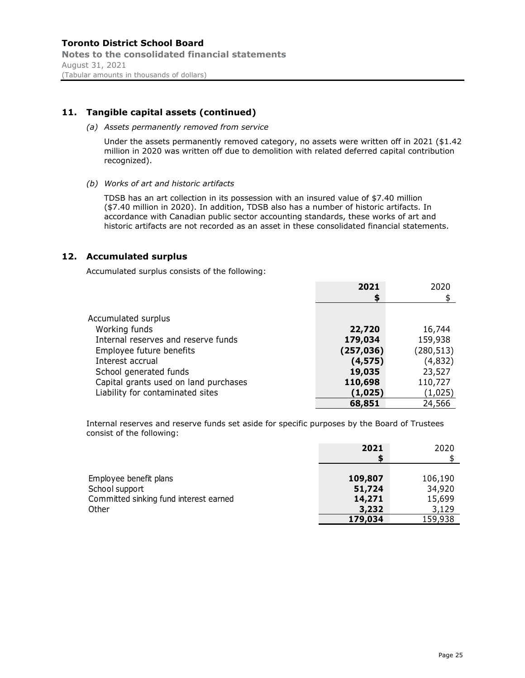## **11. Tangible capital assets (continued)**

#### *(a) Assets permanently removed from service*

Under the assets permanently removed category, no assets were written off in 2021 (\$1.42 million in 2020 was written off due to demolition with related deferred capital contribution recognized).

*(b) Works of art and historic artifacts* 

TDSB has an art collection in its possession with an insured value of \$7.40 million (\$7.40 million in 2020). In addition, TDSB also has a number of historic artifacts. In accordance with Canadian public sector accounting standards, these works of art and historic artifacts are not recorded as an asset in these consolidated financial statements.

### **12. Accumulated surplus**

Accumulated surplus consists of the following:

|                                       | 2021       | 2020       |
|---------------------------------------|------------|------------|
|                                       | S          |            |
|                                       |            |            |
| Accumulated surplus                   |            |            |
| Working funds                         | 22,720     | 16,744     |
| Internal reserves and reserve funds   | 179,034    | 159,938    |
| Employee future benefits              | (257, 036) | (280, 513) |
| Interest accrual                      | (4, 575)   | (4,832)    |
| School generated funds                | 19,035     | 23,527     |
| Capital grants used on land purchases | 110,698    | 110,727    |
| Liability for contaminated sites      | (1,025)    | (1,025)    |
|                                       | 68,851     | 24,566     |

Internal reserves and reserve funds set aside for specific purposes by the Board of Trustees consist of the following:

|                                                                                    | 2021                        | 2020                        |
|------------------------------------------------------------------------------------|-----------------------------|-----------------------------|
| Employee benefit plans<br>School support<br>Committed sinking fund interest earned | 109,807<br>51,724<br>14,271 | 106,190<br>34,920<br>15,699 |
| Other                                                                              | 3,232<br>179,034            | 3,129<br>159,938            |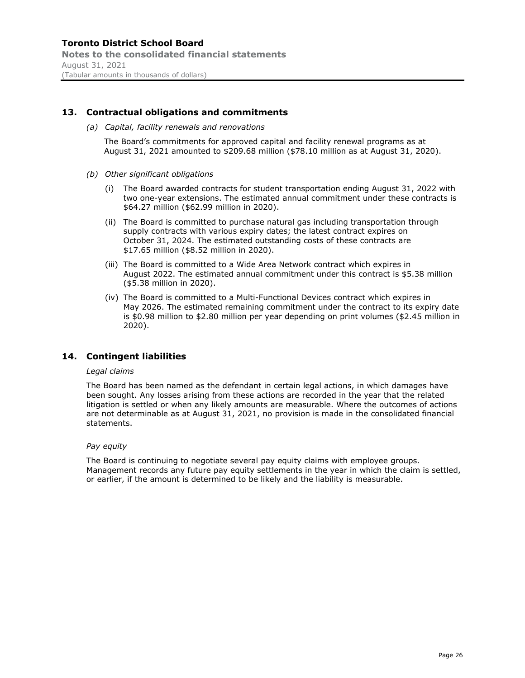### **Toronto District School Board Notes to the consolidated financial statements** August 31, 2021 (Tabular amounts in thousands of dollars)

### **13. Contractual obligations and commitments**

*(a) Capital, facility renewals and renovations* 

The Board's commitments for approved capital and facility renewal programs as at August 31, 2021 amounted to \$209.68 million (\$78.10 million as at August 31, 2020).

- *(b) Other significant obligations* 
	- (i) The Board awarded contracts for student transportation ending August 31, 2022 with two one-year extensions. The estimated annual commitment under these contracts is \$64.27 million (\$62.99 million in 2020).
	- (ii) The Board is committed to purchase natural gas including transportation through supply contracts with various expiry dates; the latest contract expires on October 31, 2024. The estimated outstanding costs of these contracts are \$17.65 million (\$8.52 million in 2020).
	- (iii) The Board is committed to a Wide Area Network contract which expires in August 2022. The estimated annual commitment under this contract is \$5.38 million (\$5.38 million in 2020).
	- (iv) The Board is committed to a Multi-Functional Devices contract which expires in May 2026. The estimated remaining commitment under the contract to its expiry date is \$0.98 million to \$2.80 million per year depending on print volumes (\$2.45 million in 2020).

### **14. Contingent liabilities**

#### *Legal claims*

The Board has been named as the defendant in certain legal actions, in which damages have been sought. Any losses arising from these actions are recorded in the year that the related litigation is settled or when any likely amounts are measurable. Where the outcomes of actions are not determinable as at August 31, 2021, no provision is made in the consolidated financial statements.

#### *Pay equity*

The Board is continuing to negotiate several pay equity claims with employee groups. Management records any future pay equity settlements in the year in which the claim is settled, or earlier, if the amount is determined to be likely and the liability is measurable.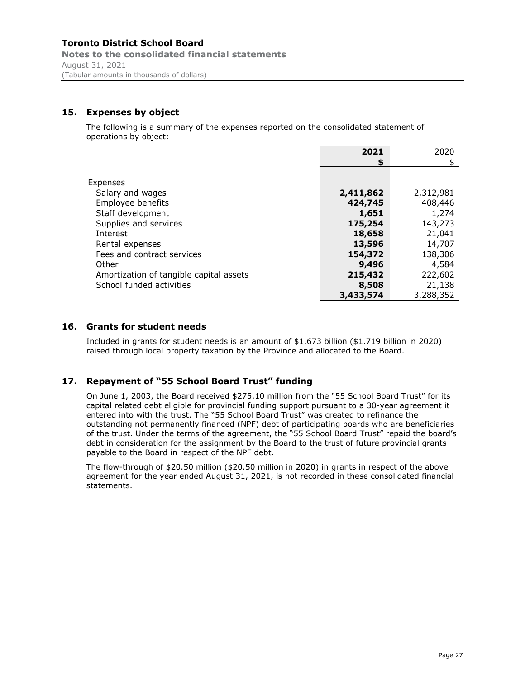**Notes to the consolidated financial statements** August 31, 2021 (Tabular amounts in thousands of dollars)

## **15. Expenses by object**

The following is a summary of the expenses reported on the consolidated statement of operations by object:

|                                         | 2021      | 2020      |
|-----------------------------------------|-----------|-----------|
|                                         | \$        | \$        |
|                                         |           |           |
| Expenses                                |           |           |
| Salary and wages                        | 2,411,862 | 2,312,981 |
| Employee benefits                       | 424,745   | 408,446   |
| Staff development                       | 1,651     | 1,274     |
| Supplies and services                   | 175,254   | 143,273   |
| Interest                                | 18,658    | 21,041    |
| Rental expenses                         | 13,596    | 14,707    |
| Fees and contract services              | 154,372   | 138,306   |
| Other                                   | 9,496     | 4,584     |
| Amortization of tangible capital assets | 215,432   | 222,602   |
| School funded activities                | 8,508     | 21,138    |
|                                         | 3,433,574 | 3,288,352 |

### **16. Grants for student needs**

Included in grants for student needs is an amount of \$1.673 billion (\$1.719 billion in 2020) raised through local property taxation by the Province and allocated to the Board.

### **17. Repayment of "55 School Board Trust" funding**

On June 1, 2003, the Board received \$275.10 million from the "55 School Board Trust" for its capital related debt eligible for provincial funding support pursuant to a 30-year agreement it entered into with the trust. The "55 School Board Trust" was created to refinance the outstanding not permanently financed (NPF) debt of participating boards who are beneficiaries of the trust. Under the terms of the agreement, the "55 School Board Trust" repaid the board's debt in consideration for the assignment by the Board to the trust of future provincial grants payable to the Board in respect of the NPF debt.

The flow-through of \$20.50 million (\$20.50 million in 2020) in grants in respect of the above agreement for the year ended August 31, 2021, is not recorded in these consolidated financial statements.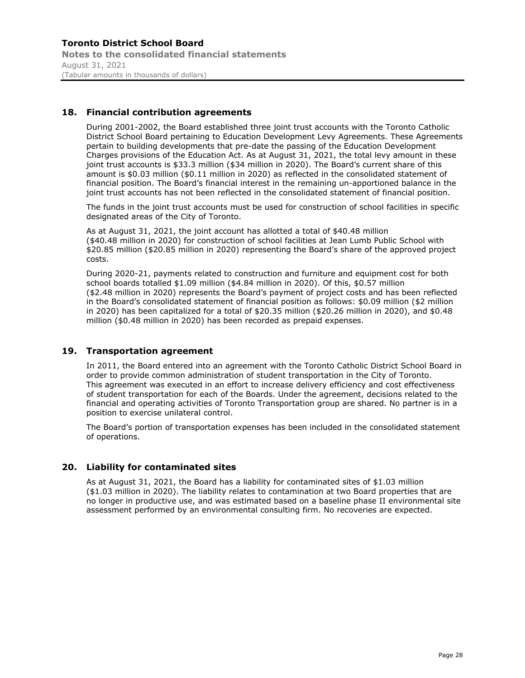### **Toronto District School Board Notes to the consolidated financial statements** August 31, 2021 (Tabular amounts in thousands of dollars)

## **18. Financial contribution agreements**

During 2001-2002, the Board established three joint trust accounts with the Toronto Catholic District School Board pertaining to Education Development Levy Agreements. These Agreements pertain to building developments that pre-date the passing of the Education Development Charges provisions of the Education Act. As at August 31, 2021, the total levy amount in these joint trust accounts is \$33.3 million (\$34 million in 2020). The Board's current share of this amount is \$0.03 million (\$0.11 million in 2020) as reflected in the consolidated statement of financial position. The Board's financial interest in the remaining un-apportioned balance in the joint trust accounts has not been reflected in the consolidated statement of financial position.

The funds in the joint trust accounts must be used for construction of school facilities in specific designated areas of the City of Toronto.

As at August 31, 2021, the joint account has allotted a total of \$40.48 million (\$40.48 million in 2020) for construction of school facilities at Jean Lumb Public School with \$20.85 million (\$20.85 million in 2020) representing the Board's share of the approved project costs.

During 2020-21, payments related to construction and furniture and equipment cost for both school boards totalled \$1.09 million (\$4.84 million in 2020). Of this, \$0.57 million (\$2.48 million in 2020) represents the Board's payment of project costs and has been reflected in the Board's consolidated statement of financial position as follows: \$0.09 million (\$2 million in 2020) has been capitalized for a total of \$20.35 million (\$20.26 million in 2020), and \$0.48 million (\$0.48 million in 2020) has been recorded as prepaid expenses.

### **19. Transportation agreement**

In 2011, the Board entered into an agreement with the Toronto Catholic District School Board in order to provide common administration of student transportation in the City of Toronto. This agreement was executed in an effort to increase delivery efficiency and cost effectiveness of student transportation for each of the Boards. Under the agreement, decisions related to the financial and operating activities of Toronto Transportation group are shared. No partner is in a position to exercise unilateral control.

The Board's portion of transportation expenses has been included in the consolidated statement of operations.

## **20. Liability for contaminated sites**

As at August 31, 2021, the Board has a liability for contaminated sites of \$1.03 million (\$1.03 million in 2020). The liability relates to contamination at two Board properties that are no longer in productive use, and was estimated based on a baseline phase II environmental site assessment performed by an environmental consulting firm. No recoveries are expected.